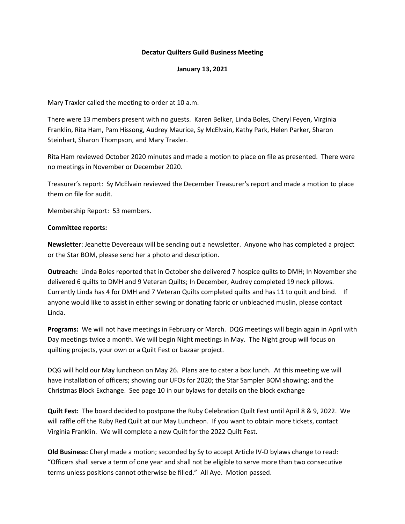## **Decatur Quilters Guild Business Meeting**

## **January 13, 2021**

Mary Traxler called the meeting to order at 10 a.m.

There were 13 members present with no guests. Karen Belker, Linda Boles, Cheryl Feyen, Virginia Franklin, Rita Ham, Pam Hissong, Audrey Maurice, Sy McElvain, Kathy Park, Helen Parker, Sharon Steinhart, Sharon Thompson, and Mary Traxler.

Rita Ham reviewed October 2020 minutes and made a motion to place on file as presented. There were no meetings in November or December 2020.

Treasurer's report: Sy McElvain reviewed the December Treasurer's report and made a motion to place them on file for audit.

Membership Report: 53 members.

## **Committee reports:**

**Newsletter**: Jeanette Devereaux will be sending out a newsletter. Anyone who has completed a project or the Star BOM, please send her a photo and description.

**Outreach:** Linda Boles reported that in October she delivered 7 hospice quilts to DMH; In November she delivered 6 quilts to DMH and 9 Veteran Quilts; In December, Audrey completed 19 neck pillows. Currently Linda has 4 for DMH and 7 Veteran Quilts completed quilts and has 11 to quilt and bind. If anyone would like to assist in either sewing or donating fabric or unbleached muslin, please contact Linda.

**Programs:** We will not have meetings in February or March. DQG meetings will begin again in April with Day meetings twice a month. We will begin Night meetings in May. The Night group will focus on quilting projects, your own or a Quilt Fest or bazaar project.

DQG will hold our May luncheon on May 26. Plans are to cater a box lunch. At this meeting we will have installation of officers; showing our UFOs for 2020; the Star Sampler BOM showing; and the Christmas Block Exchange. See page 10 in our bylaws for details on the block exchange

**Quilt Fest:** The board decided to postpone the Ruby Celebration Quilt Fest until April 8 & 9, 2022. We will raffle off the Ruby Red Quilt at our May Luncheon. If you want to obtain more tickets, contact Virginia Franklin. We will complete a new Quilt for the 2022 Quilt Fest.

**Old Business:** Cheryl made a motion; seconded by Sy to accept Article IV-D bylaws change to read: "Officers shall serve a term of one year and shall not be eligible to serve more than two consecutive terms unless positions cannot otherwise be filled." All Aye. Motion passed.